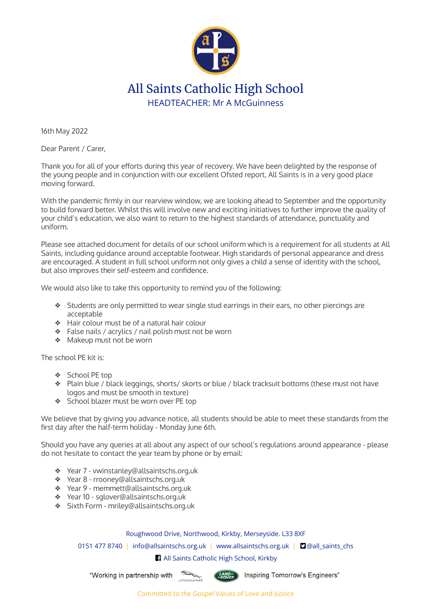

## All Saints Catholic High School HEADTEACHER: Mr A McGuinness

16th May 2022

Dear Parent / Carer,

Thank you for all of your efforts during this year of recovery. We have been delighted by the response of the young people and in conjunction with our excellent Ofsted report, All Saints is in a very good place moving forward.

With the pandemic firmly in our rearview window, we are looking ahead to September and the opportunity to build forward better. Whilst this will involve new and exciting initiatives to further improve the quality of your child's education, we also want to return to the highest standards of attendance, punctuality and uniform.

Please see attached document for details of our school uniform which is a requirement for all students at All Saints, including guidance around acceptable footwear. High standards of personal appearance and dress are encouraged. A student in full school uniform not only gives a child a sense of identity with the school, but also improves their self-esteem and confidence.

We would also like to take this opportunity to remind you of the following:

- ❖ Students are only permitted to wear single stud earrings in their ears, no other piercings are acceptable
- ❖ Hair colour must be of a natural hair colour
- ❖ False nails / acrylics / nail polish must not be worn
- ❖ Makeup must not be worn

The school PE kit is:

- ❖ School PE top
- ❖ Plain blue / black leggings, shorts/ skorts or blue / black tracksuit bottoms (these must not have logos and must be smooth in texture)
- ❖ School blazer must be worn over PE top

We believe that by giving you advance notice, all students should be able to meet these standards from the first day after the half-term holiday - Monday June 6th.

Should you have any queries at all about any aspect of our school's regulations around appearance - please do not hesitate to contact the year team by phone or by email:

- ❖ Year 7 vwinstanley@allsaintschs.org.uk
- ❖ Year 8 rrooney@allsaintschs.org.uk
- ❖ Year 9 memmett@allsaintschs.org.uk
- ❖ Year 10 sglover@allsaintschs.org.uk
- ❖ Sixth Form mriley@allsaintschs.org.uk

## Roughwood Drive, Northwood, Kirkby, Merseyside. L33 8XF

0151 477 8740 | info@allsaintschs.org.uk | www.allsaintschs.org.uk | **D**@all\_saints\_chs

All Saints Catholic High School, Kirkby

"Working in partnership with 



(LAND-) Inspiring Tomorrow's Engineers"

Committed to the Gospel Values of Love and Justice